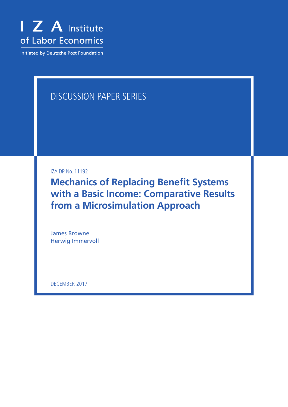

Initiated by Deutsche Post Foundation

# DISCUSSION PAPER SERIES

IZA DP No. 11192

**Mechanics of Replacing Benefit Systems with a Basic Income: Comparative Results from a Microsimulation Approach**

James Browne Herwig Immervoll

DECEMBER 2017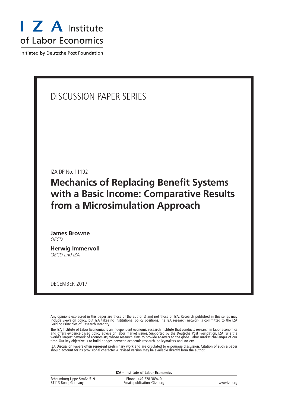

Initiated by Deutsche Post Foundation

# DISCUSSION PAPER SERIES

IZA DP No. 11192

# **Mechanics of Replacing Benefit Systems with a Basic Income: Comparative Results from a Microsimulation Approach**

**James Browne** *OECD*

**Herwig Immervoll** *OECD and IZA*

DECEMBER 2017

Any opinions expressed in this paper are those of the author(s) and not those of IZA. Research published in this series may include views on policy, but IZA takes no institutional policy positions. The IZA research network is committed to the IZA Guiding Principles of Research Integrity.

The IZA Institute of Labor Economics is an independent economic research institute that conducts research in labor economics and offers evidence-based policy advice on labor market issues. Supported by the Deutsche Post Foundation, IZA runs the world's largest network of economists, whose research aims to provide answers to the global labor market challenges of our time. Our key objective is to build bridges between academic research, policymakers and society.

IZA Discussion Papers often represent preliminary work and are circulated to encourage discussion. Citation of such a paper should account for its provisional character. A revised version may be available directly from the author.

**IZA – Institute of Labor Economics**

| Schaumburg-Lippe-Straße 5-9 | Phone: +49-228-3894-0       |             |
|-----------------------------|-----------------------------|-------------|
| 53113 Bonn, Germany         | Email: publications@iza.org | www.iza.org |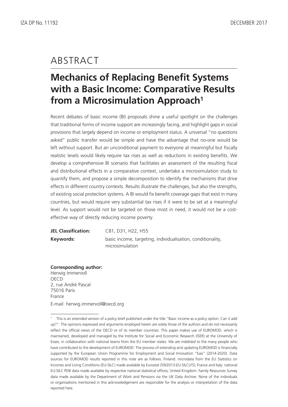# ABSTRACT

# **Mechanics of Replacing Benefit Systems with a Basic Income: Comparative Results from a Microsimulation Approach1**

Recent debates of basic income (BI) proposals shine a useful spotlight on the challenges that traditional forms of income support are increasingly facing, and highlight gaps in social provisions that largely depend on income or employment status. A universal "no questions asked" public transfer would be simple and have the advantage that no-one would be left without support. But an unconditional payment to everyone at meaningful but fiscally realistic levels would likely require tax rises as well as reductions in existing benefits. We develop a comprehensive BI scenario that facilitates an assessment of the resulting fiscal and distributional effects in a comparative context, undertake a microsimulation study to quantify them, and propose a simple decomposition to identify the mechanisms that drive effects in different country contexts. Results illustrate the challenges, but also the strengths, of existing social protection systems. A BI would fix benefit coverage gaps that exist in many countries, but would require very substantial tax rises if it were to be set at a meaningful level. As support would not be targeted on those most in need, it would not be a costeffective way of directly reducing income poverty.

| JEL Classification: | C81, D31, H22, H55                                          |
|---------------------|-------------------------------------------------------------|
| Keywords:           | basic income, targeting, individualisation, conditionality, |
|                     | microsimulation                                             |

**Corresponding author:** Herwig Immervoll OECD 2, rue André Pascal 75016 Paris France

E-mail: herwig.immervoll@oecd.org

<sup>1</sup> This is an extended version of a policy brief published under the title "Basic income as a policy option: Can it add up?". The opinions expressed and arguments employed herein are solely those of the authors and do not necessarily reflect the official views of the OECD or of its member countries. This paper makes use of EUROMOD, which is maintained, developed and managed by the Institute for Social and Economic Research (ISER) at the University of Essex, in collaboration with national teams from the EU member states. We are indebted to the many people who have contributed to the development of EUROMOD. The process of extending and updating EUROMOD is financially supported by the European Union Programme for Employment and Social Innovation "Easi" (2014-2020). Data sources for EUROMOD results reported in this note are as follows. Finland: microdata from the EU Statistics on Incomes and Living Conditions (EU-SILC) made available by Eurostat (59/2013-EU-SILCLFS); France and Italy: national EU-SILC PDB data made available by respective national statistical offices; United Kingdom: Family Resources Survey data made available by the Department of Work and Pensions via the UK Data Archive. None of the individuals or organisations mentioned in this acknowledgement are responsible for the analysis or interpretation of the data reported here.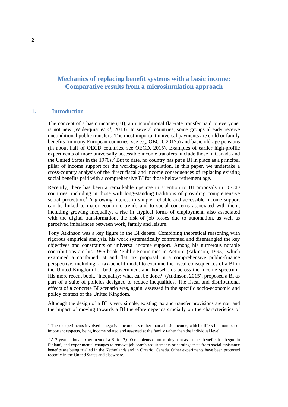# **Mechanics of replacing benefit systems with a basic income: Comparative results from a microsimulation approach**

### **1. Introduction**

The concept of a basic income (BI), an unconditional flat-rate transfer paid to everyone, is not new (Widerquist *et al*, 2013). In several countries, some groups already receive unconditional public transfers. The most important universal payments are child or family benefits (in many European countries, see e.g. OECD, 2017a) and basic old-age pensions (in about half of OECD countries, see OECD, 2015). Examples of earlier high-profile experiments of more universally accessible income transfers include those in Canada and the United States in the 1970s. [2](#page-3-0) But to date, no country has put a BI in place as a principal pillar of income support for the working-age population. In this paper, we undertake a cross-country analysis of the direct fiscal and income consequences of replacing existing social benefits paid with a comprehensive BI for those below retirement age.

Recently, there has been a remarkable upsurge in attention to BI proposals in OECD countries, including in those with long-standing traditions of providing comprehensive social protection.[3](#page-3-1) A growing interest in simple, reliable and accessible income support can be linked to major economic trends and to social concerns associated with them, including growing inequality, a rise in atypical forms of employment, also associated with the digital transformation, the risk of job losses due to automation, as well as perceived imbalances between work, family and leisure.

Tony Atkinson was a key figure in the BI debate. Combining theoretical reasoning with rigorous empirical analysis, his work systematically confronted and disentangled the key objectives and constraints of universal income support. Among his numerous notable contributions are his 1995 book 'Public Economics in Action' (Atkinson, 1995), which examined a combined BI and flat tax proposal in a comprehensive public-finance perspective, including a tax-benefit model to examine the fiscal consequences of a BI in the United Kingdom for both government and households across the income spectrum. His more recent book, 'Inequality: what can be done?' (Atkinson, 2015), proposed a BI as part of a suite of policies designed to reduce inequalities. The fiscal and distributional effects of a concrete BI scenario was, again, assessed in the specific socio-economic and policy context of the United Kingdom.

Although the design of a BI is very simple, existing tax and transfer provisions are not, and the impact of moving towards a BI therefore depends crucially on the characteristics of

<span id="page-3-0"></span><sup>&</sup>lt;sup>2</sup> These experiments involved a negative income tax rather than a basic income, which differs in a number of important respects, being income related and assessed at the family rather than the individual level.

<span id="page-3-1"></span> $3$  A 2-year national experiment of a BI for 2,000 recipients of unemployment assistance benefits has begun in Finland, and experimental changes to remove job search requirements or earnings tests from social assistance benefits are being trialled in the Netherlands and in Ontario, Canada. Other experiments have been proposed recently in the United States and elsewhere.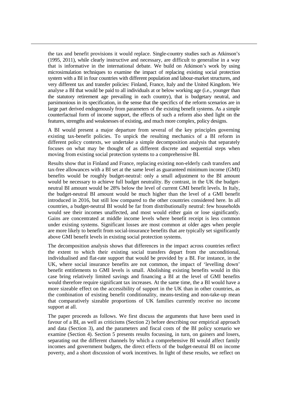the tax and benefit provisions it would replace. Single-country studies such as Atkinson's (1995, 2011), while clearly instructive and necessary, are difficult to generalise in a way that is informative in the international debate. We build on Atkinson's work by using microsimulation techniques to examine the impact of replacing existing social protection system with a BI in four countries with different population and labour-market structures, and very different tax and transfer policies: Finland, France, Italy and the United Kingdom. We analyse a BI that would be paid to all individuals at or below working age (i.e., younger than the statutory retirement age prevailing in each country), that is budgetary neutral, and parsimonious in its specification, in the sense that the specifics of the reform scenarios are in large part derived endogenously from parameters of the existing benefit systems. As a simple counterfactual form of income support, the effects of such a reform also shed light on the features, strengths and weaknesses of existing, and much more complex, policy designs.

A BI would present a major departure from several of the key principles governing existing tax-benefit policies. To unpick the resulting mechanics of a BI reform in different policy contexts, we undertake a simple decomposition analysis that separately focuses on what may be thought of as different discrete and sequential steps when moving from existing social protection systems to a comprehensive BI.

Results show that in Finland and France, replacing existing non-elderly cash transfers and tax-free allowances with a BI set at the same level as guaranteed minimum income (GMI) benefits would be roughly budget-neutral: only a small adjustment to the BI amount would be necessary to achieve full budget neutrality. By contrast, in the UK the budgetneutral BI amount would be 28% below the level of current GMI benefit levels. In Italy, the budget-neutral BI amount would be much higher than the level of a GMI benefit introduced in 2016, but still low compared to the other countries considered here. In all countries, a budget-neutral BI would be far from distributionally neutral: few households would see their incomes unaffected, and most would either gain or lose significantly. Gains are concentrated at middle income levels where benefit receipt is less common under existing systems. Significant losses are most common at older ages when people are more likely to benefit from social-insurance benefits that are typically set significantly above GMI benefit levels in existing social protection systems.

The decomposition analysis shows that differences in the impact across countries reflect the extent to which their existing social transfers depart from the unconditional, individualised and flat-rate support that would be provided by a BI. For instance, in the UK, where social insurance benefits are not common, the impact of 'levelling down' benefit entitlements to GMI levels is small. Abolishing existing benefits would in this case bring relatively limited savings and financing a BI at the level of GMI benefits would therefore require significant tax increases. At the same time, the a BI would have a more sizeable effect on the accessibility of support in the UK than in other countries, as the combination of existing benefit conditionality, means-testing and non-take-up mean that comparatively sizeable proportions of UK families currently receive no income support at all.

The paper proceeds as follows. We first discuss the arguments that have been used in favour of a BI, as well as criticisms (Section 2) before describing our empirical approach and data (Section 3), and the parameters and fiscal costs of the BI policy scenario we examine (Section 4). Section 5 presents results focussing, in turn, on gainers and losers, separating out the different channels by which a comprehensive BI would affect family incomes and government budgets, the direct effects of the budget-neutral BI on income poverty, and a short discussion of work incentives. In light of these results, we reflect on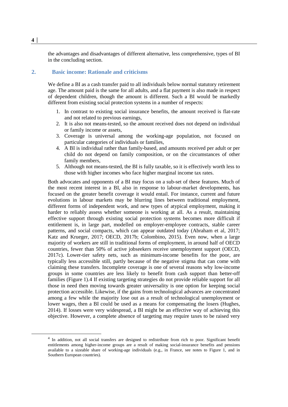the advantages and disadvantages of different alternative, less comprehensive, types of BI in the concluding section.

# **2. Basic income: Rationale and criticisms**

We define a BI as a cash transfer paid to all individuals below normal statutory retirement age. The amount paid is the same for all adults, and a flat payment is also made in respect of dependent children, though the amount is different. Such a BI would be markedly different from existing social protection systems in a number of respects:

- 1. In contrast to existing social insurance benefits, the amount received is flat-rate and not related to previous earnings,
- 2. It is also not means-tested, so the amount received does not depend on individual or family income or assets,
- 3. Coverage is universal among the working-age population, not focused on particular categories of individuals or families,
- 4. A BI is individual rather than family-based, and amounts received per adult or per child do not depend on family composition, or on the circumstances of other family members,
- 5. Although not means-tested, the BI is fully taxable, so it is effectively worth less to those with higher incomes who face higher marginal income tax rates.

Both advocates and opponents of a BI may focus on a sub-set of these features. Much of the most recent interest in a BI, also in response to labour-market developments, has focused on the greater benefit coverage it would entail. For instance, current and future evolutions in labour markets may be blurring lines between traditional employment, different forms of independent work, and new types of atypical employment, making it harder to reliably assess whether someone is working at all. As a result, maintaining effective support through existing social protection systems becomes more difficult if entitlement is, in large part, modelled on employer-employee contracts, stable career patterns, and social compacts, which can appear outdated today (Abraham et al, 2017; Katz and Krueger, 2017; OECD, 2017b; Colombino, 2015). Even now, when a large majority of workers are still in traditional forms of employment, in around half of OECD countries, fewer than 50% of active jobseekers receive unemployment support (OECD, 2017c). Lower-tier safety nets, such as minimum-income benefits for the poor, are typically less accessible still, partly because of the negative stigma that can come with claiming these transfers. Incomplete coverage is one of several reasons why low-income groups in some countries are less likely to benefit from cash support than better-off families (Figure 1).[4](#page-5-0) If existing targeting strategies do not provide reliable support for all those in need then moving towards greater universality is one option for keeping social protection accessible. Likewise, if the gains from technological advances are concentrated among a few while the majority lose out as a result of technological unemployment or lower wages, then a BI could be used as a means for compensating the losers (Hughes, 2014). If losses were very widespread, a BI might be an effective way of achieving this objective. However, a complete absence of targeting may require taxes to be raised very

<span id="page-5-0"></span><sup>&</sup>lt;sup>4</sup> In addition, not all social transfers are designed to redistribute from rich to poor. Significant benefit entitlements among higher-income groups are a result of making social-insurance benefits and pensions available to a sizeable share of working-age individuals (e.g., in France, see notes to Figure 1, and in Southern European countries).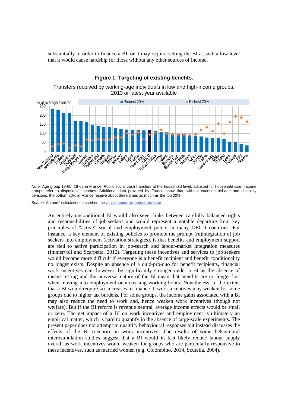

substantially in order to finance a BI, or it may require setting the BI at such a low level that it would cause hardship for those without any other sources of income.

*Note*: Age group 18-65, 18-62 in France. Public social cash transfers at the household level, adjusted for household size. Income groups refer to disposable incomes. Additional data provided by France show that, without counting old-age and disability pensions, the bottom 20% in France receive about three times as much as the top 20%.

Source: Authors' calculations based on the **OECD** Income Distribution Database.

An entirely unconditional BI would also sever links between carefully balanced rights and responsibilities of job seekers and would represent a notable departure from key principles of "active" social and employment policy in many OECD countries. For instance, a key element of existing policies to promote the prompt (re)integration of job seekers into employment (activation strategies), is that benefits and employment support are tied to active participation in job-search and labour-market integration measures (Immervoll and Scarpetta, 2012). Targeting these incentives and services to job seekers would become more difficult if everyone is a benefit recipient and benefit conditionality no longer exists. Despite an absence of a quid-pro-quo for benefit recipients, financial work incentives can, however, be significantly stronger under a BI as the absence of means testing and the universal nature of the BI mean that benefits are no longer lost when moving into employment or increasing working hours. Nonetheless, to the extent that a BI would require tax increases to finance it, work incentives may weaken for some groups due to higher tax burdens. For some groups, the income gains associated with a BI may also reduce the need to work and, hence weaken work incentives (though not welfare). But if the BI reform is revenue neutral, average income effects would be small or zero. The net impact of a BI on work incentives and employment is ultimately an empirical matter, which is hard to quantify in the absence of large-scale experiments. The present paper does not attempt to quantify behavioural responses but instead discusses the effects of the BI scenario on work incentives. The results of some behavioural microsimulation studies suggest that a BI would in fact likely reduce labour supply overall as work incentives would weaken for groups who are particularly responsive to these incentives, such as married women (e.g. Colombino, 2014, Scutella, 2004).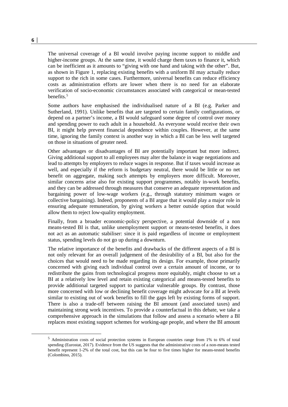The universal coverage of a BI would involve paying income support to middle and higher-income groups. At the same time, it would charge them taxes to finance it, which can be inefficient as it amounts to "giving with one hand and taking with the other". But, as shown in Figure 1, replacing existing benefits with a uniform BI may actually reduce support to the rich in some cases. Furthermore, universal benefits can reduce efficiency costs as administration efforts are lower when there is no need for an elaborate verification of socio-economic circumstances associated with categorical or mean-tested benefits.[5](#page-7-0)

Some authors have emphasised the individualised nature of a BI (e.g. Parker and Sutherland, 1991). Unlike benefits that are targeted to certain family configurations, or depend on a partner's income, a BI would safeguard some degree of control over money and spending power to each adult in a household. As everyone would receive their own BI, it might help prevent financial dependence within couples. However, at the same time, ignoring the family context is another way in which a BI can be less well targeted on those in situations of greater need.

Other advantages or disadvantages of BI are potentially important but more indirect. Giving additional support to all employees may alter the balance in wage negotiations and lead to attempts by employers to reduce wages in response. But if taxes would increase as well, and especially if the reform is budgetary neutral, there would be little or no net benefit on aggregate, making such attempts by employers more difficult. Moreover, similar concerns arise also for existing support programmes, notably in-work benefits, and they can be addressed through measures that conserve an adequate representation and bargaining power of low-wage workers (e.g., through statutory minimum wages or collective bargaining). Indeed, proponents of a BI argue that it would play a major role in ensuring adequate remuneration, by giving workers a better outside option that would allow them to reject low-quality employment.

Finally, from a broader economic-policy perspective, a potential downside of a non means-tested BI is that, unlike unemployment support or means-tested benefits, it does not act as an automatic stabiliser: since it is paid regardless of income or employment status, spending levels do not go up during a downturn.

The relative importance of the benefits and drawbacks of the different aspects of a BI is not only relevant for an overall judgement of the desirability of a BI, but also for the choices that would need to be made regarding its design. For example, those primarily concerned with giving each individual control over a certain amount of income, or to redistribute the gains from technological progress more equitably, might choose to set a BI at a relatively low level and retain existing categorical and means-tested benefits to provide additional targeted support to particular vulnerable groups. By contrast, those more concerned with low or declining benefit coverage might advocate for a BI at levels similar to existing out of work benefits to fill the gaps left by existing forms of support. There is also a trade-off between raising the BI amount (and associated taxes) and maintaining strong work incentives. To provide a counterfactual in this debate, we take a comprehensive approach in the simulations that follow and assess a scenario where a BI replaces most existing support schemes for working-age people, and where the BI amount

**6 │** 

<span id="page-7-0"></span> <sup>5</sup> Administration costs of social protection systems in European countries range from 1% to 6% of total spending (Eurostat, 2017). Evidence from the US suggests that the administrative costs of a non-means tested benefit represent 1-2% of the total cost, but this can be four to five times higher for means-tested benefits (Colombino, 2015).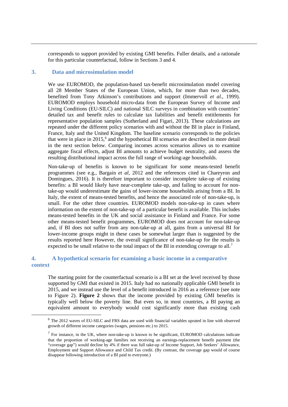corresponds to support provided by existing GMI benefits. Fuller details, and a rationale for this particular counterfactual, follow in Sections 3 and 4.

# **3. Data and microsimulation model**

We use EUROMOD, the population-based tax-benefit microsimulation model covering all 28 Member States of the European Union, which, for more than two decades, benefited from Tony Atkinson's contributions and support (Immervoll *et al.*, 1999). EUROMOD employs household micro-data from the European Survey of Income and Living Conditions (EU-SILC) and national SILC surveys in combination with countries' detailed tax and benefit rules to calculate tax liabilities and benefit entitlements for representative population samples (Sutherland and Figari, 2013). These calculations are repeated under the different policy scenarios with and without the BI in place in Finland, France, Italy and the United Kingdom. The baseline scenario corresponds to the policies that were in place in  $2015<sup>6</sup>$  $2015<sup>6</sup>$  $2015<sup>6</sup>$  and the hypothetical BI scenarios are described in more detail in the next section below. Comparing incomes across scenarios allows us to examine aggregate fiscal effects, adjust BI amounts to achieve budget neutrality, and assess the resulting distributional impact across the full range of working-age households.

Non-take-up of benefits is known to be significant for some means-tested benefit programmes (see e.g., Bargain *et al*, 2012 and the references cited in Chareyron and Domingues, 2016). It is therefore important to consider incomplete take-up of existing benefits: a BI would likely have near-complete take-up, and failing to account for nontake-up would underestimate the gains of lower-income households arising from a BI. In Italy, the extent of means-tested benefits, and hence the associated role of non-take-up, is small. For the other three countries. EUROMOD models non-take-up in cases where information on the extent of non-take-up of a particular benefit is available. This includes means-tested benefits in the UK and social assistance in Finland and France. For some other means-tested benefit programmes, EUROMOD does not account for non-take-up and, if BI does not suffer from any non-take-up at all, gains from a universal BI for lower-income groups might in these cases be somewhat larger than is suggested by the results reported here However, the overall significance of non-take-up for the results is expected to be small relative to the total impact of the BI in extending coverage to all.<sup>[7](#page-8-1)</sup>

# **4. A hypothetical scenario for examining a basic income in a comparative context**

The starting point for the counterfactual scenario is a BI set at the level received by those supported by GMI that existed in 2015. Italy had no nationally applicable GMI benefit in 2015, and we instead use the level of a benefit introduced in 2016 as a reference (see note to Figure 2). **Figure 2** shows that the income provided by existing GMI benefits is typically well below the poverty line. But even so, in most countries, a BI paying an equivalent amount to everybody would cost significantly more than existing cash

<span id="page-8-0"></span> <sup>6</sup> The 2012 waves of EU-SILC and FRS data are used with financial variables uprated in line with observed growth of different income categories (wages, pensions etc.) to 2015.

<span id="page-8-1"></span> $<sup>7</sup>$  For instance, in the UK, where non-take-up is known to be significant, EUROMOD calculations indicate</sup> that the proportion of working-age families not receiving an earnings-replacement benefit payment (the "coverage gap") would decline by 4% if there was full take-up of Income Support, Job Seekers' Allowance, Employment and Support Allowance and Child Tax credit. (By contrast, the coverage gap would of course disappear following introduction of a BI paid to everyone.)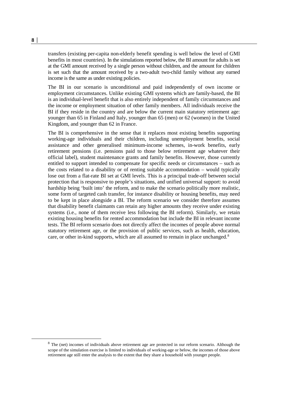transfers (existing per-capita non-elderly benefit spending is well below the level of GMI benefits in most countries). In the simulations reported below, the BI amount for adults is set at the GMI amount received by a single person without children, and the amount for children is set such that the amount received by a two-adult two-child family without any earned income is the same as under existing policies.

The BI in our scenario is unconditional and paid independently of own income or employment circumstances. Unlike existing GMI systems which are family-based, the BI is an individual-level benefit that is also entirely independent of family circumstances and the income or employment situation of other family members. All individuals receive the BI if they reside in the country and are below the current main statutory retirement age: younger than 65 in Finland and Italy, younger than 65 (men) or 62 (women) in the United Kingdom, and younger than 62 in France.

The BI is comprehensive in the sense that it replaces most existing benefits supporting working-age individuals and their children, including unemployment benefits, social assistance and other generalised minimum-income schemes, in-work benefits, early retirement pensions (i.e. pensions paid to those below retirement age whatever their official label), student maintenance grants and family benefits. However, those currently entitled to support intended to compensate for specific needs or circumstances – such as the costs related to a disability or of renting suitable accommodation – would typically lose out from a flat-rate BI set at GMI levels. This is a principal trade-off between social protection that is responsive to people's situations, and unified universal support: to avoid hardship being 'built into' the reform, and to make the scenario politically more realistic, some form of targeted cash transfer, for instance disability or housing benefits, may need to be kept in place alongside a BI. The reform scenario we consider therefore assumes that disability benefit claimants can retain any higher amounts they receive under existing systems (i.e., none of them receive less following the BI reform). Similarly, we retain existing housing benefits for rented accommodation but include the BI in relevant income tests. The BI reform scenario does not directly affect the incomes of people above normal statutory retirement age, or the provision of public services, such as health, education, care, or other in-kind supports, which are all assumed to remain in place unchanged.<sup>[8](#page-9-0)</sup>

**8 │** 

<span id="page-9-0"></span><sup>&</sup>lt;sup>8</sup> The (net) incomes of individuals above retirement age are protected in our reform scenario. Although the scope of the simulation exercise is limited to individuals of working-age or below, the incomes of those above retirement age still enter the analysis to the extent that they share a household with younger people.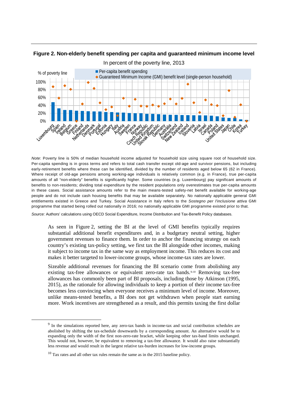

## **Figure 2. Non-elderly benefit spending per capita and guaranteed minimum income level**

*Note*: Poverty line is 50% of median household income adjusted for household size using square root of household size. Per-capita spending is in gross terms and refers to total cash transfer except old-age and survivor pensions, but including early-retirement benefits where these can be identified, divided by the number of residents aged below 65 (62 in France). Where receipt of old-age pensions among working-age individuals is relatively common (e.g. in France), true per-capita amounts of all "non-elderly" benefits is significantly higher. Some countries (e.g. Luxembourg) pay significant amounts of benefits to non-residents; dividing total expenditure by the resident populations only overestimates true per-capita amounts in these cases. Social assistance amounts refer to the main means-tested safety-net benefit available for working-age people and do not include cash housing benefits that may be available separately. No nationally applicable general GMI entitlements existed in Greece and Turkey. Social Assistance in Italy refers to the *Sostegno per l'inclusione attiva* GMI programme that started being rolled out nationally in 2016; no nationally applicable GMI programme existed prior to that.

*Source:* Authors' calculations using OECD Social Expenditure, Income Distribution and Tax-Benefit Policy databases.

As seen in Figure 2, setting the BI at the level of GMI benefits typically requires substantial additional benefit expenditures and, in a budgetary neutral setting, higher government revenues to finance them. In order to anchor the financing strategy on each country's existing tax-policy setting, we first tax the BI alongside other incomes, making it subject to income tax in the same way as employment income. This reduces its cost and makes it better targeted to lower-income groups, whose income-tax rates are lower.

Sizeable additional revenues for financing the BI scenario come from abolishing any existing tax-free allowances or equivalent zero-rate tax bands.<sup>[9,](#page-10-0)[10](#page-10-1)</sup> Removing tax-free allowances has commonly been part of BI proposals, including those by Atkinson (1995, 2015), as the rationale for allowing individuals to keep a portion of their income tax-free becomes less convincing when everyone receives a minimum level of income. Moreover, unlike means-tested benefits, a BI does not get withdrawn when people start earning more. Work incentives are strengthened as a result, and this permits taxing the first dollar

<span id="page-10-0"></span> <sup>9</sup> In the simulations reported here, any zero-tax bands in income-tax and social contribution schedules are abolished by shifting the tax-schedule downwards by a corresponding amount. An alternative would be to expanding only the width of the first non-zero-rate bracket, while keeping other tax-band limits unchanged. This would not, however, be equivalent to removing a tax-free allowance. It would also raise substantially less revenue and would result in the largest relative tax-burden increases for low-income groups.

<span id="page-10-1"></span><sup>&</sup>lt;sup>10</sup> Tax rates and all other tax rules remain the same as in the 2015 baseline policy.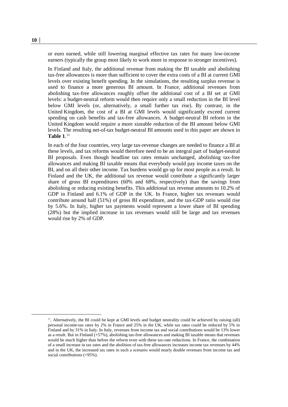or euro earned, while still lowering marginal effective tax rates for many low-income earners (typically the group most likely to work more in response to stronger incentives).

In Finland and Italy, the additional revenue from making the BI taxable and abolishing tax-free allowances is more than sufficient to cover the extra costs of a BI at current GMI levels over existing benefit spending. In the simulations, the resulting surplus revenue is used to finance a more generous BI amount. In France, additional revenues from abolishing tax-free allowances roughly offset the additional cost of a BI set at GMI levels: a budget-neutral reform would then require only a small reduction in the BI level below GMI levels (or, alternatively, a small further tax rise). By contrast, in the United Kingdom, the cost of a BI at GMI levels would significantly exceed current spending on cash benefits and tax-free allowances. A budget-neutral BI reform in the United Kingdom would require a more sizeable reduction of the BI amount below GMI levels. The resulting net-of-tax budget-neutral BI amounts used in this paper are shown in **Table 1**. [11](#page-11-0)

In each of the four countries, very large tax-revenue changes are needed to finance a BI at these levels, and tax reforms would therefore need to be an integral part of budget-neutral BI proposals. Even though headline tax rates remain unchanged, abolishing tax-free allowances and making BI taxable means that everybody would pay income taxes on the BI, and on all their other income. Tax burdens would go up for most people as a result. In Finland and the UK, the additional tax revenue would contribute a significantly larger share of gross BI expenditures (60% and 68%, respectively) than the savings from abolishing or reducing existing benefits. This additional tax revenue amounts to 10.2% of GDP in Finland and 6.1% of GDP in the UK. In France, higher tax revenues would contribute around half (51%) of gross BI expenditure, and the tax-GDP ratio would rise by 5.6%. In Italy, higher tax payments would represent a lower share of BI spending (28%) but the implied increase in tax revenues would still be large and tax revenues would rise by 2% of GDP.

<span id="page-11-0"></span><sup>&</sup>lt;sup>11</sup>. Alternatively, the BI could be kept at GMI levels and budget neutrality could be achieved by raising (all) personal income-tax rates by 2% in France and 25% in the UK, while tax rates could be reduced by 5% in Finland and by 31% in Italy. In Italy, revenues from income tax and social contributions would be 13% lower as a result. But in Finland (+57%), abolishing tax-free allowances and making BI taxable means that revenues would be much higher than before the reform even with these tax-rate reductions. In France, the combination of a small increase in tax rates and the abolition of tax-free allowances increases income tax revenues by 44% and in the UK, the increased tax rates in such a scenario would nearly double revenues from income tax and social contributions (+95%).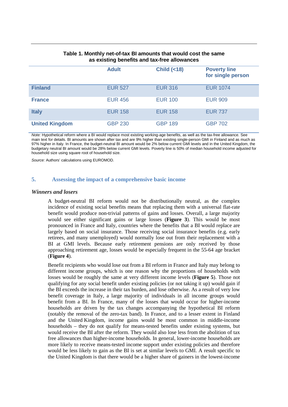|                       | <b>Adult</b>   | <b>Child (&lt;18)</b> | <b>Poverty line</b><br>for single person |
|-----------------------|----------------|-----------------------|------------------------------------------|
| <b>Finland</b>        | <b>EUR 527</b> | <b>EUR 316</b>        | <b>EUR 1074</b>                          |
| <b>France</b>         | <b>EUR 456</b> | <b>EUR 100</b>        | <b>EUR 909</b>                           |
| <b>Italy</b>          | <b>EUR 158</b> | <b>EUR 158</b>        | <b>EUR 737</b>                           |
| <b>United Kingdom</b> | <b>GBP 230</b> | <b>GBP 189</b>        | <b>GBP 702</b>                           |

# **Table 1. Monthly net-of-tax BI amounts that would cost the same as existing benefits and tax-free allowances**

*Note:* Hypothetical reform where a BI would replace most existing working-age benefits, as well as the tax-free allowance. See main text for details. BI amounts are shown after tax and are 9% higher than existing single-person GMI in Finland and as much as 97% higher in Italy. In France, the budget-neutral BI amount would be 2% below current GMI levels and in the United Kingdom, the budgetary neutral BI amount would be 28% below current GMI levels. Poverty line is 50% of median household income adjusted for household size using square root of household size.

*Source:* Authors' calculations using EUROMOD.

## **5. Assessing the impact of a comprehensive basic income**

#### *Winners and losers*

A budget-neutral BI reform would not be distributionally neutral, as the complex incidence of existing social benefits means that replacing them with a universal flat-rate benefit would produce non-trivial patterns of gains and losses. Overall, a large majority would see either significant gains or large losses (**Figure 3**). This would be most pronounced in France and Italy, countries where the benefits that a BI would replace are largely based on social insurance. Those receiving social insurance benefits (e.g. early retirees, and many unemployed) would normally lose out from their replacement with a BI at GMI levels. Because early retirement pensions are only received by those approaching retirement age, losses would be especially frequent in the 55-64 age bracket (**Figure 4**).

Benefit recipients who would lose out from a BI reform in France and Italy may belong to different income groups, which is one reason why the proportions of households with losses would be roughly the same at very different income levels (**Figure 5**). Those not qualifying for any social benefit under existing policies (or not taking it up) would gain if the BI exceeds the increase in their tax burden, and lose otherwise. As a result of very low benefit coverage in Italy, a large majority of individuals in all income groups would benefit from a BI. In France, many of the losses that would occur for higher-income households are driven by the tax changes accompanying the hypothetical BI reform (notably the removal of the zero-tax band). In France, and to a lesser extent in Finland and the United Kingdom, income gains would be most common in middle-income households – they do not qualify for means-tested benefits under existing systems, but would receive the BI after the reform. They would also lose less from the abolition of tax free allowances than higher-income households. In general, lower-income households are more likely to receive means-tested income support under existing policies and therefore would be less likely to gain as the BI is set at similar levels to GMI. A result specific to the United Kingdom is that there would be a higher share of gainers in the lowest-income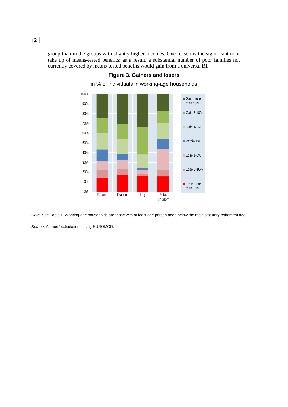group than in the groups with slightly higher incomes. One reason is the significant nontake up of means-tested benefits: as a result, a substantial number of poor families not currently covered by means-tested benefits would gain from a universal BI.



**Figure 3. Gainers and losers**

in % of individuals in working-age households

*Note*: See Table 1. Working-age households are those with at least one person aged below the main statutory retirement age.

*Source:* Authors' calculations using EUROMOD.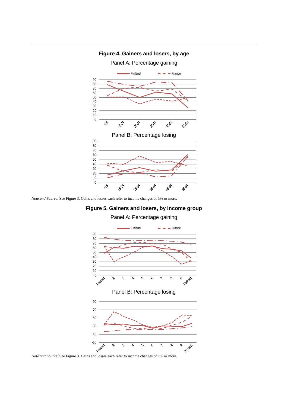

**Figure 4. Gainers and losers, by age** 

*Note and Source*: See Figure 3. Gains and losses each refer to income changes of 1% or more.

# **Figure 5. Gainers and losers, by income group**

### Panel A: Percentage gaining

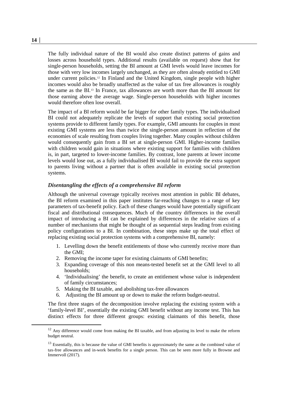The fully individual nature of the BI would also create distinct patterns of gains and losses across household types. Additional results (available on request) show that for single-person households, setting the BI amount at GMI levels would leave incomes for those with very low incomes largely unchanged, as they are often already entitled to GMI under current policies.[12](#page-15-0) In Finland and the United Kingdom, single people with higher incomes would also be broadly unaffected as the value of tax free allowances is roughly the same as the BI.[13](#page-15-1) In France, tax allowances are worth more than the BI amount for those earning above the average wage. Single-person households with higher incomes would therefore often lose overall.

The impact of a BI reform would be far bigger for other family types. The individualised BI could not adequately replicate the levels of support that existing social protection systems provide to different family types. For example, GMI amounts for couples in most existing GMI systems are less than twice the single-person amount in reflection of the economies of scale resulting from couples living together. Many couples without children would consequently gain from a BI set at single-person GMI. Higher-income families with children would gain in situations where existing support for families with children is, in part, targeted to lower-income families. By contrast, lone parents at lower income levels would lose out, as a fully individualised BI would fail to provide the extra support to parents living without a partner that is often available in existing social protection systems.

## *Disentangling the effects of a comprehensive BI reform*

Although the universal coverage typically receives most attention in public BI debates, the BI reform examined in this paper institutes far-reaching changes to a range of key parameters of tax-benefit policy. Each of these changes would have potentially significant fiscal and distributional consequences. Much of the country differences in the overall impact of introducing a BI can be explained by differences in the relative sizes of a number of mechanisms that might be thought of as sequential steps leading from existing policy configurations to a BI. In combination, these steps make up the total effect of replacing existing social protection systems with a comprehensive BI, namely:

- 1. Levelling down the benefit entitlements of those who currently receive more than the GMI;
- 2. Removing the income taper for existing claimants of GMI benefits;
- 3. Expanding coverage of this non means-tested benefit set at the GMI level to all households;
- 4. 'Individualising' the benefit, to create an entitlement whose value is independent of family circumstances;
- 5. Making the BI taxable, and abolishing tax-free allowances
- 6. Adjusting the BI amount up or down to make the reform budget-neutral.

The first three stages of the decomposition involve replacing the existing system with a 'family-level BI', essentially the existing GMI benefit without any income test. This has distinct effects for three different groups: existing claimants of this benefit, those

<span id="page-15-0"></span><sup>&</sup>lt;sup>12</sup> Any difference would come from making the BI taxable, and from adjusting its level to make the reform budget neutral.

<span id="page-15-1"></span><sup>&</sup>lt;sup>13</sup> Essentially, this is because the value of GMI benefits is approximately the same as the combined value of tax-free allowances and in-work benefits for a single person. This can be seen more fully in Browne and Immervoll (2017).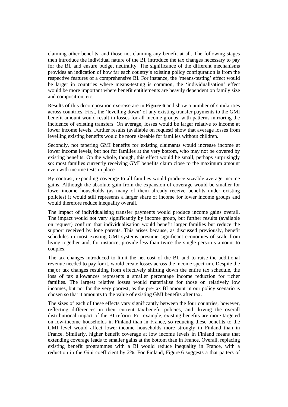claiming other benefits, and those not claiming any benefit at all. The following stages then introduce the individual nature of the BI, introduce the tax changes necessary to pay for the BI, and ensure budget neutrality. The significance of the different mechanisms provides an indication of how far each country's existing policy configuration is from the respective features of a comprehensive BI. For instance, the 'means-testing' effect would be larger in countries where means-testing is common, the 'individualisation' effect would be more important where benefit entitlements are heavily dependent on family size and composition, etc..

Results of this decomposition exercise are in **Figure 6** and show a number of similarities across countries. First, the 'levelling down' of any existing transfer payments to the GMI benefit amount would result in losses for all income groups, with patterns mirroring the incidence of existing transfers. On average, losses would be larger relative to income at lower income levels. Further results (available on request) show that average losses from levelling existing benefits would be more sizeable for families without children.

Secondly, not tapering GMI benefits for existing claimants would increase income at lower income levels, but not for families at the very bottom, who may not be covered by existing benefits. On the whole, though, this effect would be small, perhaps surprisingly so: most families currently receiving GMI benefits claim close to the maximum amount even with income tests in place.

By contrast, expanding coverage to all families would produce sizeable average income gains. Although the absolute gain from the expansion of coverage would be smaller for lower-income households (as many of them already receive benefits under existing policies) it would still represents a larger share of income for lower income groups and would therefore reduce inequality overall.

The impact of individualising transfer payments would produce income gains overall. The impact would not vary significantly by income group, but further results (available on request) confirm that individualisation would benefit larger families but reduce the support received by lone parents. This arises because, as discussed previously, benefit schedules in most existing GMI systems presume significant economies of scale from living together and, for instance, provide less than twice the single person's amount to couples.

The tax changes introduced to limit the net cost of the BI, and to raise the additional revenue needed to pay for it, would create losses across the income spectrum. Despite the major tax changes resulting from effectively shifting down the entire tax schedule, the loss of tax allowances represents a smaller percentage income reduction for richer families. The largest relative losses would materialise for those on relatively low incomes, but not for the very poorest, as the pre-tax BI amount in our policy scenario is chosen so that it amounts to the value of existing GMI benefits after tax.

The sizes of each of these effects vary significantly between the four countries, however, reflecting differences in their current tax-benefit policies, and driving the overall distributional impact of the BI reform. For example, existing benefits are more targeted on low-income households in Finland than in France, so reducing these benefits to the GMI level would affect lower-income households more strongly in Finland than in France. Similarly, higher benefit coverage at low income levels in Finland means that extending coverage leads to smaller gains at the bottom than in France. Overall, replacing existing benefit programmes with a BI would reduce inequality in France, with a reduction in the Gini coefficient by 2%. For Finland, Figure  $\vec{6}$  suggests a that patters of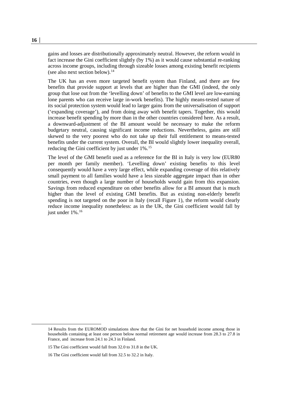gains and losses are distributionally approximately neutral. However, the reform would in fact increase the Gini coefficient slightly (by 1%) as it would cause substantial re-ranking across income groups, including through sizeable losses among existing benefit recipients (see also next section below). $^{14}$  $^{14}$  $^{14}$ 

The UK has an even more targeted benefit system than Finland, and there are few benefits that provide support at levels that are higher than the GMI (indeed, the only group that lose out from the 'levelling down' of benefits to the GMI level are low-earning lone parents who can receive large in-work benefits). The highly means-tested nature of its social protection system would lead to larger gains from the universalisation of support ('expanding coverage'), and from doing away with benefit tapers. Together, this would increase benefit spending by more than in the other countries considered here. As a result, a downward-adjustment of the BI amount would be necessary to make the reform budgetary neutral, causing significant income reductions. Nevertheless, gains are still skewed to the very poorest who do not take up their full entitlement to means-tested benefits under the current system. Overall, the BI would slightly lower inequality overall, reducing the Gini coefficient by just under 1%.[15](#page-17-1)

The level of the GMI benefit used as a reference for the BI in Italy is very low (EUR80 per month per family member). 'Levelling down' existing benefits to this level consequently would have a very large effect, while expanding coverage of this relatively small payment to all families would have a less sizeable aggregate impact than in other countries, even though a large number of households would gain from this expansion. Savings from reduced expenditure on other benefits allow for a BI amount that is much higher than the level of existing GMI benefits. But as existing non-elderly benefit spending is not targeted on the poor in Italy (recall Figure 1), the reform would clearly reduce income inequality nonetheless: as in the UK, the Gini coefficient would fall by just under  $1\%$ .<sup>16</sup>

<span id="page-17-0"></span> <sup>14</sup> Results from the EUROMOD simulations show that the Gini for net household income among those in households containing at least one person below normal retirement age would increase from 28.3 to 27.8 in France, and increase from 24.1 to 24.3 in Finland.

<span id="page-17-1"></span><sup>15</sup> The Gini coefficient would fall from 32.0 to 31.8 in the UK.

<span id="page-17-2"></span><sup>16</sup> The Gini coefficient would fall from 32.5 to 32.2 in Italy.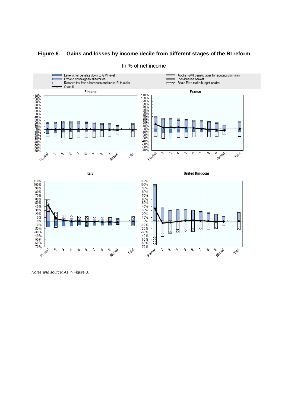## **Figure 6. Gains and losses by income decile from different stages of the BI reform**



In % of net income

*Notes and source*: As in Figure 3.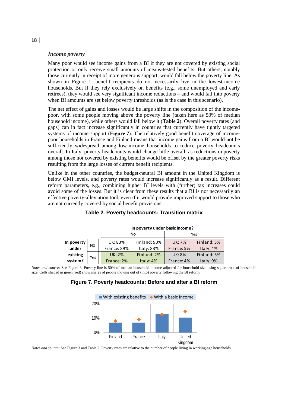### *Income poverty*

Many poor would see income gains from a BI if they are not covered by existing social protection or only receive small amounts of means-tested benefits. But others, notably those currently in receipt of more generous support, would fall below the poverty line. As shown in Figure 1, benefit recipients do not necessarily live in the lowest-income households. But if they rely exclusively on benefits (e.g., some unemployed and early retirees), they would see very significant income reductions – and would fall into poverty when BI amounts are set below poverty thresholds (as is the case in this scenario).

The net effect of gains and losses would be large shifts in the composition of the incomepoor, with some people moving above the poverty line (taken here as 50% of median household income), while others would fall below it (**Table 2**). Overall poverty rates (and gaps) can in fact increase significantly in countries that currently have tightly targeted systems of income support (**Figure 7**). The relatively good benefit coverage of incomepoor households in France and Finland means that income gains from a BI would not be sufficiently widespread among low-income households to reduce poverty headcounts overall. In Italy, poverty headcounts would change little overall, as reductions in poverty among those not covered by existing benefits would be offset by the greater poverty risks resulting from the large losses of current benefit recipients.

Unlike in the other countries, the budget-neutral BI amount in the United Kingdom is below GMI levels, and poverty rates would increase significantly as a result. Different reform parameters, e.g., combining higher BI levels with (further) tax increases could avoid some of the losses. But it is clear from these results that a BI is not necessarily an effective poverty-alleviation tool, even if it would provide improved support to those who are not currently covered by social benefit provisions.

|                     |     |                | In poverty under basic income? |               |             |  |  |
|---------------------|-----|----------------|--------------------------------|---------------|-------------|--|--|
|                     |     |                | No                             | Yes           |             |  |  |
| In poverty<br>under | No  | <b>UK: 83%</b> | Finland: 90%                   | UK: 7%        | Finland: 3% |  |  |
|                     |     | France: 89%    | Italy: 83%                     | France: 5%    | Italy: $4%$ |  |  |
| existing<br>system? | Yes | $UK: 2\%$      | Finland: 2%                    | <b>UK: 8%</b> | Finland: 5% |  |  |
|                     |     | France: 2%     | Italy: $4%$                    | France: 4%    | Italy: 9%   |  |  |

### **Table 2. Poverty headcounts: Transition matrix**

*Notes and source:* See Figure 3. Poverty line is 50% of median household income adjusted for household size using square root of household size. Cells shaded in green (red) show shares of people moving out of (into) poverty following the BI reform.





*Notes and source:* See Figure 3 and Table 2. Poverty rates are relative to the number of people living in working-age households.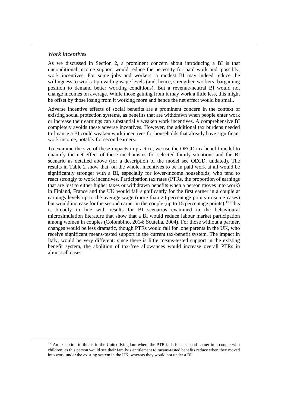#### *Work incentives*

As we discussed in Section 2, a prominent concern about introducing a BI is that unconditional income support would reduce the necessity for paid work and, possibly, work incentives. For some jobs and workers, a modest BI may indeed reduce the willingness to work at prevailing wage levels (and, hence, strengthen workers' bargaining position to demand better working conditions). But a revenue-neutral BI would not change incomes on average. While those gaining from it may work a little less, this might be offset by those losing from it working more and hence the net effect would be small.

Adverse incentive effects of social benefits are a prominent concern in the context of existing social protection systems, as benefits that are withdrawn when people enter work or increase their earnings can substantially weaken work incentives. A comprehensive BI completely avoids these adverse incentives. However, the additional tax burdens needed to finance a BI could weaken work incentives for households that already have significant work income, notably for second earners.

To examine the size of these impacts in practice, we use the OECD tax-benefit model to quantify the net effect of these mechanisms for selected family situations and the BI scenario as detailed above (for a description of the model see OECD, undated). The results in Table 2 show that, on the whole, incentives to be in paid work at all would be significantly stronger with a BI, especially for lower-income households, who tend to react strongly to work incentives. Participation tax rates (PTRs, the proportion of earnings that are lost to either higher taxes or withdrawn benefits when a person moves into work) in Finland, France and the UK would fall significantly for the first earner in a couple at earnings levels up to the average wage (more than 20 percentage points in some cases) but would increase for the second earner in the couple (up to 15 percentage points).<sup>[17](#page-20-0)</sup> This is broadly in line with results for BI scenarios examined in the behavioural microsimulation literature that show that a BI would reduce labour market participation among women in couples (Colombino, 2014; Scutella, 2004). For those without a partner, changes would be less dramatic, though PTRs would fall for lone parents in the UK, who receive significant means-tested support in the current tax-benefit system. The impact in Italy, would be very different: since there is little means-tested support in the existing benefit system, the abolition of tax-free allowances would increase overall PTRs in almost all cases.

<span id="page-20-0"></span><sup>&</sup>lt;sup>17</sup> An exception to this is in the United Kingdom where the PTR falls for a second earner in a couple with children, as this person would see their family's entitlement to means-tested benefits reduce when they moved into work under the existing system in the UK, whereas they would not under a BI.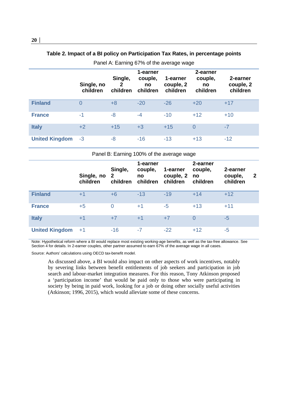# **Table 2. Impact of a BI policy on Participation Tax Rates, in percentage points**

|                       | Single, no<br>children | Single,<br>2<br>children | 1-earner<br>couple,<br>no<br>children | 1-earner<br>couple, 2<br>children | 2-earner<br>couple,<br>no<br>children | 2-earner<br>couple, 2<br>children |
|-----------------------|------------------------|--------------------------|---------------------------------------|-----------------------------------|---------------------------------------|-----------------------------------|
| <b>Finland</b>        | $\Omega$               | $+8$                     | $-20$                                 | $-26$                             | $+20$                                 | $+17$                             |
| <b>France</b>         | $-1$                   | -8                       | -4                                    | $-10$                             | $+12$                                 | $+10$                             |
| <b>Italy</b>          | $+2$                   | $+15$                    | $+3$                                  | $+15$                             | $\overline{0}$                        | $-7$                              |
| <b>United Kingdom</b> | $-3$                   | -8                       | $-16$                                 | $-13$                             | $+13$                                 | $-12$                             |

Panel A: Earning 67% of the average wage

| Panel B: Earning 100% of the average wage |                        |                                     |                                       |                                   |                                       |                                 |   |
|-------------------------------------------|------------------------|-------------------------------------|---------------------------------------|-----------------------------------|---------------------------------------|---------------------------------|---|
|                                           | Single, no<br>children | Single,<br>$\mathbf{2}$<br>children | 1-earner<br>couple,<br>no<br>children | 1-earner<br>couple, 2<br>children | 2-earner<br>couple,<br>no<br>children | 2-earner<br>couple,<br>children | 2 |
| <b>Finland</b>                            | $+1$                   | $+6$                                | $-13$                                 | $-19$                             | $+14$                                 | $+12$                           |   |
| <b>France</b>                             | $+5$                   | $\Omega$                            | $+1$                                  | $-5$                              | $+13$                                 | $+11$                           |   |
| <b>Italy</b>                              | $+1$                   | $+7$                                | $+1$                                  | $+7$                              | $\Omega$                              | $-5$                            |   |
| <b>United Kingdom</b>                     | $+1$                   | $-16$                               | $-7$                                  | $-22$                             | $+12$                                 | -5                              |   |

Note: Hypothetical reform where a BI would replace most existing working-age benefits, as well as the tax-free allowance. See Section 4 for details. In 2-earner couples, other partner assumed to earn 67% of the average wage in all cases.

Source: Authors' calculations using OECD tax-benefit model.

As discussed above, a BI would also impact on other aspects of work incentives, notably by severing links between benefit entitlements of job seekers and participation in job search and labour-market integration measures. For this reason, Tony Atkinson proposed a 'participation income' that would be paid only to those who were participating in society by being in paid work, looking for a job or doing other socially useful activities (Atkinson; 1996, 2015), which would alleviate some of these concerns.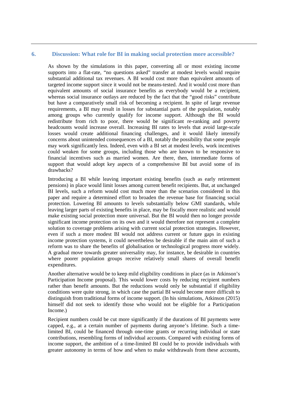### **6. Discussion: What role for BI in making social protection more accessible?**

As shown by the simulations in this paper, converting all or most existing income supports into a flat-rate, "no questions asked" transfer at modest levels would require substantial additional tax revenues. A BI would cost more than equivalent amounts of targeted income support since it would not be means-tested. And it would cost more than equivalent amounts of social insurance benefits as everybody would be a recipient, whereas social insurance outlays are reduced by the fact that the "good risks" contribute but have a comparatively small risk of becoming a recipient. In spite of large revenue requirements, a BI may result in losses for substantial parts of the population, notably among groups who currently qualify for income support. Although the BI would redistribute from rich to poor, there would be significant re-ranking and poverty headcounts would increase overall. Increasing BI rates to levels that avoid large-scale losses would create additional financing challenges, and it would likely intensify concerns about unintended consequences of a BI, notably the possibility that some people may work significantly less. Indeed, even with a BI set at modest levels, work incentives could weaken for some groups, including those who are known to be responsive to financial incentives such as married women. Are there, then, intermediate forms of support that would adopt key aspects of a comprehensive BI but avoid some of its drawbacks?

Introducing a BI while leaving important existing benefits (such as early retirement pensions) in place would limit losses among current benefit recipients. But, at unchanged BI levels, such a reform would cost much more than the scenarios considered in this paper and require a determined effort to broaden the revenue base for financing social protection. Lowering BI amounts to levels substantially below GMI standards, while leaving larger parts of existing benefits in place, may be fiscally more realistic and would make existing social protection more universal. But the BI would then no longer provide significant income protection on its own and it would therefore not represent a complete solution to coverage problems arising with current social protection strategies. However, even if such a more modest BI would not address current or future gaps in existing income protection systems, it could nevertheless be desirable if the main aim of such a reform was to share the benefits of globalisation or technological progress more widely. A gradual move towards greater universality may, for instance, be desirable in countries where poorer population groups receive relatively small shares of overall benefit expenditures.

Another alternative would be to keep mild eligibility conditions in place (as in Atkinson's Participation Income proposal). This would lower costs by reducing recipient numbers rather than benefit amounts. But the reductions would only be substantial if eligibility conditions were quite strong, in which case the partial BI would become more difficult to distinguish from traditional forms of income support. (In his simulations, Atkinson (2015) himself did not seek to identify those who would not be eligible for a Participation Income.)

Recipient numbers could be cut more significantly if the durations of BI payments were capped, e.g., at a certain number of payments during anyone's lifetime. Such a timelimited BI, could be financed through one-time grants or recurring individual or state contributions, resembling forms of individual accounts. Compared with existing forms of income support, the ambition of a time-limited BI could be to provide individuals with greater autonomy in terms of how and when to make withdrawals from these accounts,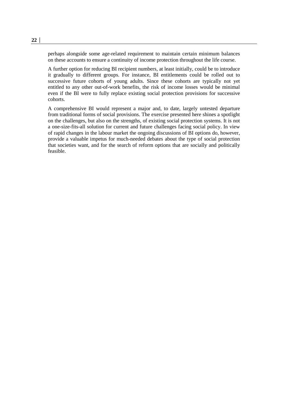perhaps alongside some age-related requirement to maintain certain minimum balances on these accounts to ensure a continuity of income protection throughout the life course.

A further option for reducing BI recipient numbers, at least initially, could be to introduce it gradually to different groups. For instance, BI entitlements could be rolled out to successive future cohorts of young adults. Since these cohorts are typically not yet entitled to any other out-of-work benefits, the risk of income losses would be minimal even if the BI were to fully replace existing social protection provisions for successive cohorts.

A comprehensive BI would represent a major and, to date, largely untested departure from traditional forms of social provisions. The exercise presented here shines a spotlight on the challenges, but also on the strengths, of existing social protection systems. It is not a one-size-fits-all solution for current and future challenges facing social policy. In view of rapid changes in the labour market the ongoing discussions of BI options do, however, provide a valuable impetus for much-needed debates about the type of social protection that societies want, and for the search of reform options that are socially and politically feasible.